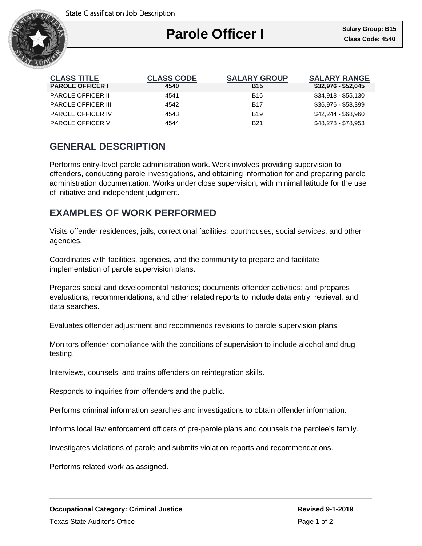

| <b>CLASS TITLE</b>        | <b>CLASS CODE</b> | <b>SALARY GROUP</b> | <b>SALARY RANGE</b> |
|---------------------------|-------------------|---------------------|---------------------|
| <b>PAROLE OFFICER I</b>   | 4540              | <b>B15</b>          | $$32,976 - $52,045$ |
| <b>PAROLE OFFICER II</b>  | 4541              | <b>B16</b>          | $$34,918 - $55,130$ |
| <b>PAROLE OFFICER III</b> | 4542              | <b>B17</b>          | \$36,976 - \$58,399 |
| <b>PAROLE OFFICER IV</b>  | 4543              | <b>B</b> 19         | \$42,244 - \$68,960 |
| <b>PAROLE OFFICER V</b>   | 4544              | <b>B21</b>          | \$48,278 - \$78,953 |

# **GENERAL DESCRIPTION**

Performs entry-level parole administration work. Work involves providing supervision to offenders, conducting parole investigations, and obtaining information for and preparing parole administration documentation. Works under close supervision, with minimal latitude for the use of initiative and independent judgment.

# **EXAMPLES OF WORK PERFORMED**

Visits offender residences, jails, correctional facilities, courthouses, social services, and other agencies.

Coordinates with facilities, agencies, and the community to prepare and facilitate implementation of parole supervision plans.

Prepares social and developmental histories; documents offender activities; and prepares evaluations, recommendations, and other related reports to include data entry, retrieval, and data searches.

Evaluates offender adjustment and recommends revisions to parole supervision plans.

Monitors offender compliance with the conditions of supervision to include alcohol and drug testing.

Interviews, counsels, and trains offenders on reintegration skills.

Responds to inquiries from offenders and the public.

Performs criminal information searches and investigations to obtain offender information.

Informs local law enforcement officers of pre-parole plans and counsels the parolee's family.

Investigates violations of parole and submits violation reports and recommendations.

Performs related work as assigned.